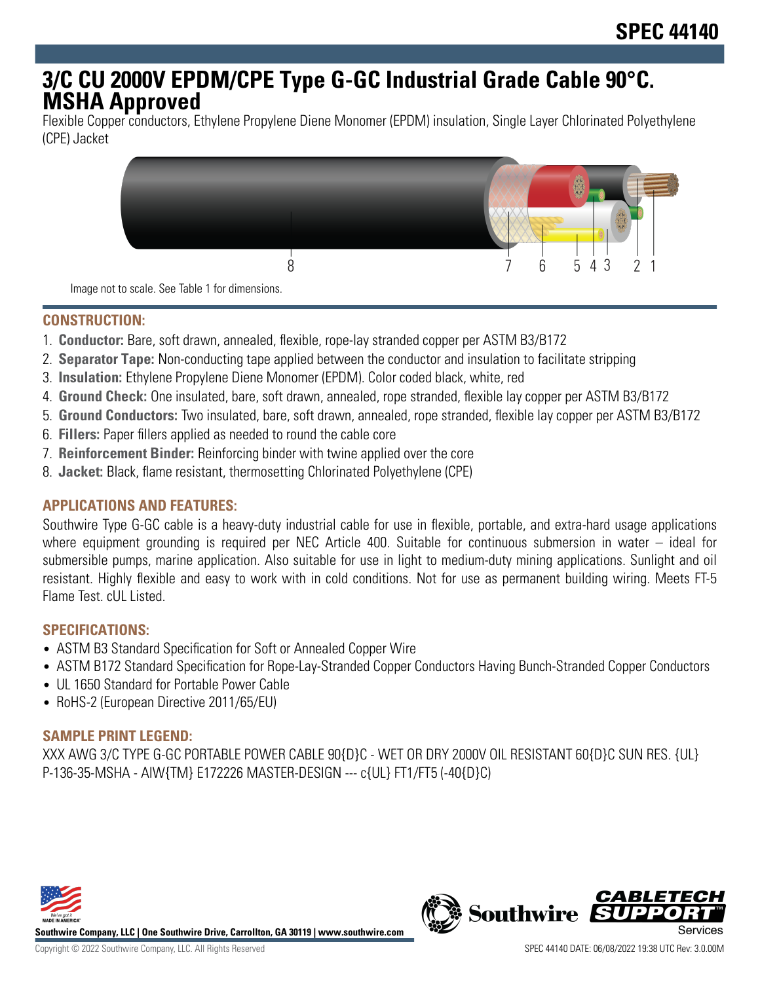# **3/C CU 2000V EPDM/CPE Type G-GC Industrial Grade Cable 90°C. MSHA Approved**

Flexible Copper conductors, Ethylene Propylene Diene Monomer (EPDM) insulation, Single Layer Chlorinated Polyethylene (CPE) Jacket



Image not to scale. See Table 1 for dimensions.

#### **CONSTRUCTION:**

- 1. **Conductor:** Bare, soft drawn, annealed, flexible, rope-lay stranded copper per ASTM B3/B172
- 2. **Separator Tape:** Non-conducting tape applied between the conductor and insulation to facilitate stripping
- 3. **Insulation:** Ethylene Propylene Diene Monomer (EPDM). Color coded black, white, red
- 4. **Ground Check:** One insulated, bare, soft drawn, annealed, rope stranded, flexible lay copper per ASTM B3/B172
- 5. **Ground Conductors:** Two insulated, bare, soft drawn, annealed, rope stranded, flexible lay copper per ASTM B3/B172
- 6. **Fillers:** Paper fillers applied as needed to round the cable core
- 7. **Reinforcement Binder:** Reinforcing binder with twine applied over the core
- 8. **Jacket:** Black, flame resistant, thermosetting Chlorinated Polyethylene (CPE)

## **APPLICATIONS AND FEATURES:**

Southwire Type G-GC cable is a heavy-duty industrial cable for use in flexible, portable, and extra-hard usage applications where equipment grounding is required per NEC Article 400. Suitable for continuous submersion in water – ideal for submersible pumps, marine application. Also suitable for use in light to medium-duty mining applications. Sunlight and oil resistant. Highly flexible and easy to work with in cold conditions. Not for use as permanent building wiring. Meets FT-5 Flame Test. cUL Listed.

#### **SPECIFICATIONS:**

- ASTM B3 Standard Specification for Soft or Annealed Copper Wire
- ASTM B172 Standard Specification for Rope-Lay-Stranded Copper Conductors Having Bunch-Stranded Copper Conductors
- UL 1650 Standard for Portable Power Cable
- RoHS-2 (European Directive 2011/65/EU)

## **SAMPLE PRINT LEGEND:**

XXX AWG 3/C TYPE G-GC PORTABLE POWER CABLE 90{D}C - WET OR DRY 2000V OIL RESISTANT 60{D}C SUN RES. {UL} P-136-35-MSHA - AIW{TM} E172226 MASTER-DESIGN --- c{UL} FT1/FT5 (-40{D}C)



**Southwire Company, LLC | One Southwire Drive, Carrollton, GA 30119 | www.southwire.com**